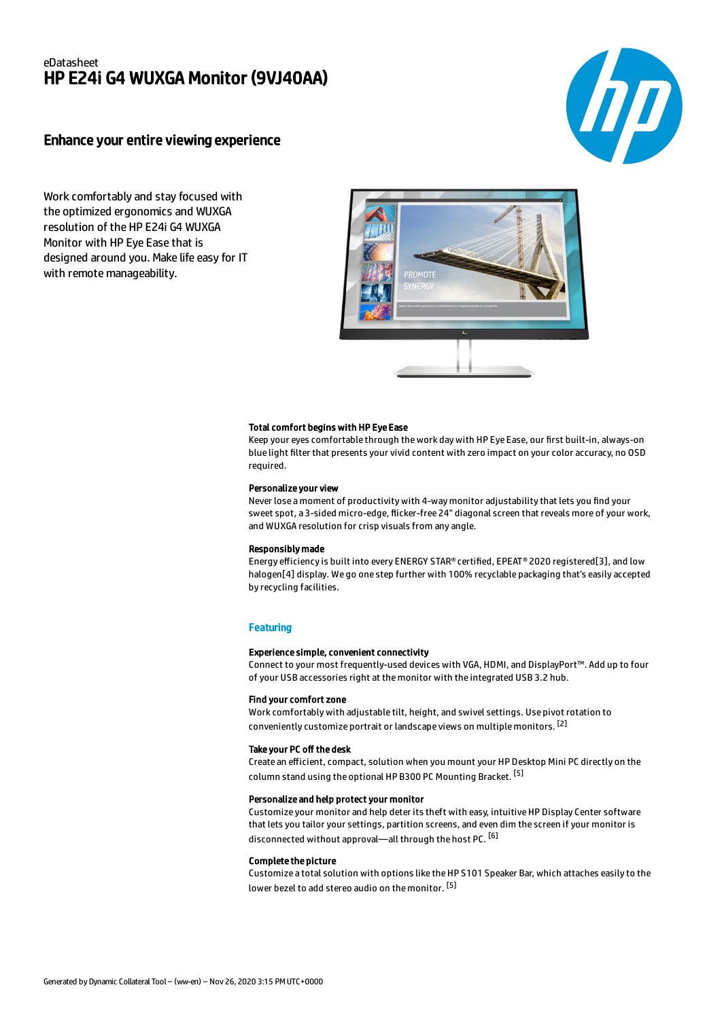# eDatasheet HP E24i G4 WUXGA Monitor (9VJ40AA)

# Enhance your entire viewing experience

Work comfortably and stay focused with the optimized ergonomics and WUXGA resolution of the HP E24i G4 WUXGA Monitor with HP Eye Ease that is designed around you. Make life easy for IT with remote manageability.



### Total comfort begins with HP Eye Ease

Keep your eyes comfortable through the work day with HP Eye Ease, our first built-in, always-on blue light filter that presents your vivid content with zero impact on your color accuracy, no OSD required.

#### Personalize your view

Never lose a moment of productivity with 4-way monitor adjustability that lets you find your sweet spot, a 3-sided micro-edge, flicker-free 24" diagonal screen that reveals more of your work, and WUXGA resolution for crisp visuals from any angle.

#### Responsibly made

Energy efficiency is built into every ENERGY STAR® certified, EPEAT® 2020 registered[3], and low halogen[4] display. We go one step further with 100% recyclable packaging that's easily accepted by recycling facilities.

#### **Featuring**

#### Experience simple, convenient connectivity

Connect to your most frequently-used devices with VGA, HDMI, and DisplayPort™. Add up to four of your USB accessories right at the monitor with the integrated USB 3.2 hub.

## Find your comfort zone

Work comfortably with adjustable tilt, height, and swivel settings. Use pivot rotation to conveniently customize portrait or landscape views on multiple monitors. [2]

#### Take your PC off the desk

Create an efficient, compact, solution when you mount your HP Desktop Mini PC directly on the column stand using the optional HP B300 PC Mounting Bracket. <sup>[5]</sup>

## Personalize and help protect your monitor

Customize your monitor and help deter its theft with easy, intuitive HP Display Center software that lets you tailor your settings, partition screens, and even dim the screen if your monitor is disconnected without approval—all through the host PC. <sup>[6]</sup>

#### Complete the picture

Customize a total solution with options like the HP S101 Speaker Bar, which attaches easily to the lower bezel to add stereo audio on the monitor. <sup>[5]</sup>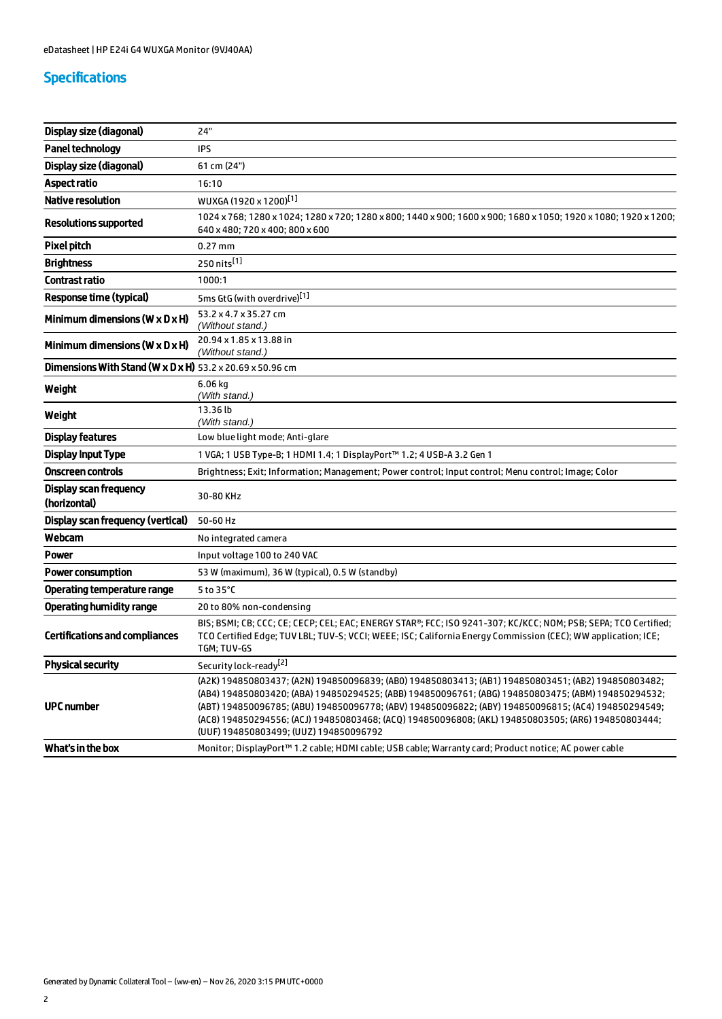# Specifications

| Display size (diagonal)                                               | 24"                                                                                                                                                                                                                                                                                                                                                                                                                                                                |
|-----------------------------------------------------------------------|--------------------------------------------------------------------------------------------------------------------------------------------------------------------------------------------------------------------------------------------------------------------------------------------------------------------------------------------------------------------------------------------------------------------------------------------------------------------|
| <b>Panel technology</b>                                               | <b>IPS</b>                                                                                                                                                                                                                                                                                                                                                                                                                                                         |
| Display size (diagonal)                                               | 61 cm (24")                                                                                                                                                                                                                                                                                                                                                                                                                                                        |
| <b>Aspect ratio</b>                                                   | 16:10                                                                                                                                                                                                                                                                                                                                                                                                                                                              |
| <b>Native resolution</b>                                              | WUXGA (1920 x 1200) <sup>[1]</sup>                                                                                                                                                                                                                                                                                                                                                                                                                                 |
| Resolutions supported                                                 | 1024 x 768; 1280 x 1024; 1280 x 720; 1280 x 800; 1440 x 900; 1600 x 900; 1680 x 1050; 1920 x 1080; 1920 x 1200;<br>640 x 480; 720 x 400; 800 x 600                                                                                                                                                                                                                                                                                                                 |
| <b>Pixel pitch</b>                                                    | $0.27$ mm                                                                                                                                                                                                                                                                                                                                                                                                                                                          |
| <b>Brightness</b>                                                     | 250 nits <sup>[1]</sup>                                                                                                                                                                                                                                                                                                                                                                                                                                            |
| <b>Contrast ratio</b>                                                 | 1000:1                                                                                                                                                                                                                                                                                                                                                                                                                                                             |
| <b>Response time (typical)</b>                                        | 5ms GtG (with overdrive)[1]                                                                                                                                                                                                                                                                                                                                                                                                                                        |
| Minimum dimensions (W $\times$ D $\times$ H)                          | 53.2 x 4.7 x 35.27 cm<br>(Without stand.)                                                                                                                                                                                                                                                                                                                                                                                                                          |
| Minimum dimensions ( $W \times D \times H$ )                          | 20.94 x 1.85 x 13.88 in<br>(Without stand.)                                                                                                                                                                                                                                                                                                                                                                                                                        |
| Dimensions With Stand (W x D x H) $53.2 \times 20.69 \times 50.96$ cm |                                                                                                                                                                                                                                                                                                                                                                                                                                                                    |
| Weight                                                                | $6.06$ kg<br>(With stand.)                                                                                                                                                                                                                                                                                                                                                                                                                                         |
| Weight                                                                | 13.36 lb<br>(With stand.)                                                                                                                                                                                                                                                                                                                                                                                                                                          |
| <b>Display features</b>                                               | Low blue light mode; Anti-glare                                                                                                                                                                                                                                                                                                                                                                                                                                    |
| <b>Display Input Type</b>                                             | 1 VGA; 1 USB Type-B; 1 HDMI 1.4; 1 DisplayPort™ 1.2; 4 USB-A 3.2 Gen 1                                                                                                                                                                                                                                                                                                                                                                                             |
| <b>Onscreen controls</b>                                              | Brightness; Exit; Information; Management; Power control; Input control; Menu control; Image; Color                                                                                                                                                                                                                                                                                                                                                                |
| Display scan frequency<br>(horizontal)                                | 30-80 KHz                                                                                                                                                                                                                                                                                                                                                                                                                                                          |
| Display scan frequency (vertical)                                     | 50-60 Hz                                                                                                                                                                                                                                                                                                                                                                                                                                                           |
| Webcam                                                                | No integrated camera                                                                                                                                                                                                                                                                                                                                                                                                                                               |
| <b>Power</b>                                                          | Input voltage 100 to 240 VAC                                                                                                                                                                                                                                                                                                                                                                                                                                       |
| <b>Power consumption</b>                                              | 53 W (maximum), 36 W (typical), 0.5 W (standby)                                                                                                                                                                                                                                                                                                                                                                                                                    |
| <b>Operating temperature range</b>                                    | 5 to 35°C                                                                                                                                                                                                                                                                                                                                                                                                                                                          |
| <b>Operating humidity range</b>                                       | 20 to 80% non-condensing                                                                                                                                                                                                                                                                                                                                                                                                                                           |
| <b>Certifications and compliances</b>                                 | BIS; BSMI; CB; CCC; CE; CECP; CEL; EAC; ENERGY STAR®; FCC; ISO 9241-307; KC/KCC; NOM; PSB; SEPA; TCO Certified;<br>TCO Certified Edge; TUV LBL; TUV-S; VCCI; WEEE; ISC; California Energy Commission (CEC); WW application; ICE;<br>TGM; TUV-GS                                                                                                                                                                                                                    |
| <b>Physical security</b>                                              | Security lock-ready <sup>[2]</sup>                                                                                                                                                                                                                                                                                                                                                                                                                                 |
| <b>UPC</b> number                                                     | (A2K) 194850803437; (A2N) 194850096839; (AB0) 194850803413; (AB1) 194850803451; (AB2) 194850803482;<br>(AB4) 194850803420; (ABA) 194850294525; (ABB) 194850096761; (ABG) 194850803475; (ABM) 194850294532;<br>(ABT) 194850096785; (ABU) 194850096778; (ABV) 194850096822; (ABY) 194850096815; (AC4) 194850294549;<br>(AC8) 194850294556; (ACJ) 194850803468; (ACQ) 194850096808; (AKL) 194850803505; (AR6) 194850803444;<br>(UUF) 194850803499; (UUZ) 194850096792 |
| What's in the box                                                     | Monitor; DisplayPort™ 1.2 cable; HDMI cable; USB cable; Warranty card; Product notice; AC power cable                                                                                                                                                                                                                                                                                                                                                              |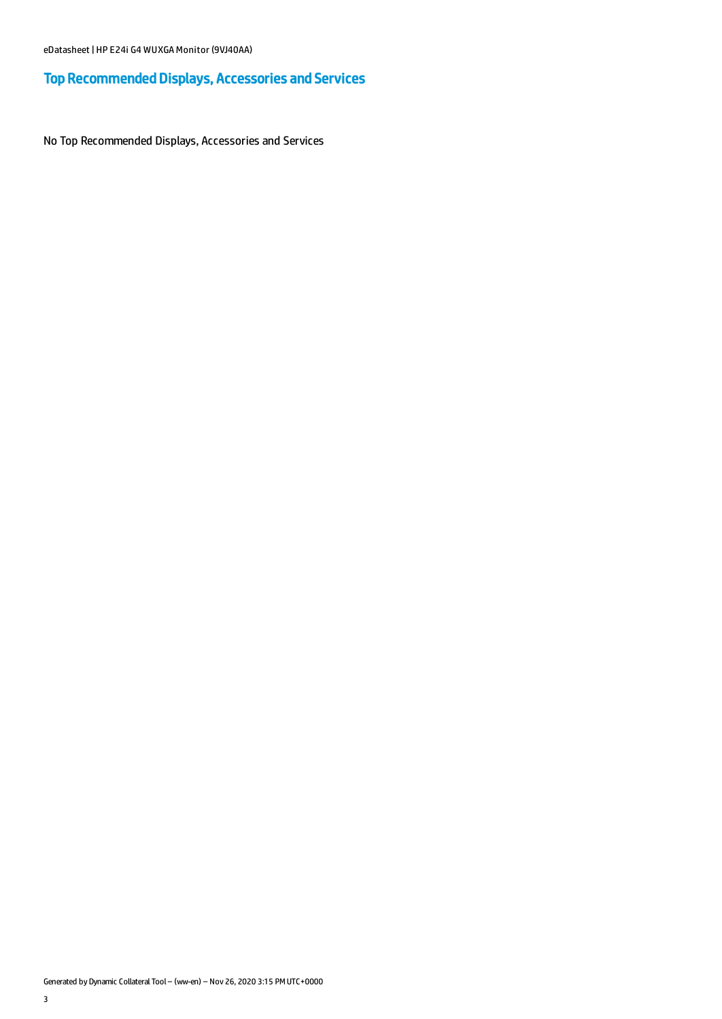# Top Recommended Displays, Accessories and Services

No Top Recommended Displays, Accessories and Services